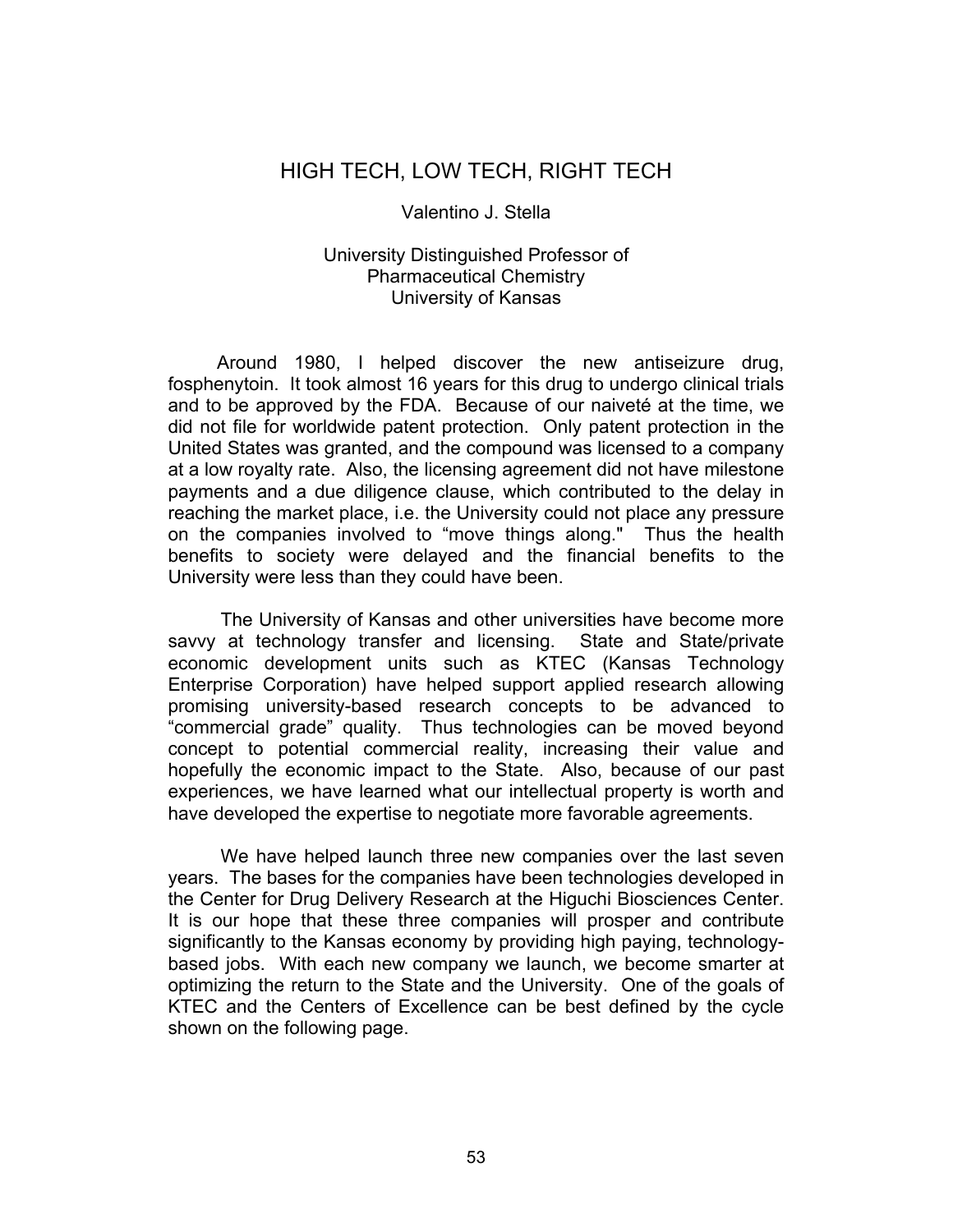## HIGH TECH, LOW TECH, RIGHT TECH

## Valentino J. Stella

## University Distinguished Professor of Pharmaceutical Chemistry University of Kansas

Around 1980, I helped discover the new antiseizure drug, fosphenytoin. It took almost 16 years for this drug to undergo clinical trials and to be approved by the FDA. Because of our naiveté at the time, we did not file for worldwide patent protection. Only patent protection in the United States was granted, and the compound was licensed to a company at a low royalty rate. Also, the licensing agreement did not have milestone payments and a due diligence clause, which contributed to the delay in reaching the market place, i.e. the University could not place any pressure on the companies involved to "move things along." Thus the health benefits to society were delayed and the financial benefits to the University were less than they could have been.

The University of Kansas and other universities have become more savvy at technology transfer and licensing. State and State/private economic development units such as KTEC (Kansas Technology Enterprise Corporation) have helped support applied research allowing promising university-based research concepts to be advanced to "commercial grade" quality. Thus technologies can be moved beyond concept to potential commercial reality, increasing their value and hopefully the economic impact to the State. Also, because of our past experiences, we have learned what our intellectual property is worth and have developed the expertise to negotiate more favorable agreements.

We have helped launch three new companies over the last seven years. The bases for the companies have been technologies developed in the Center for Drug Delivery Research at the Higuchi Biosciences Center. It is our hope that these three companies will prosper and contribute significantly to the Kansas economy by providing high paying, technologybased jobs. With each new company we launch, we become smarter at optimizing the return to the State and the University. One of the goals of KTEC and the Centers of Excellence can be best defined by the cycle shown on the following page.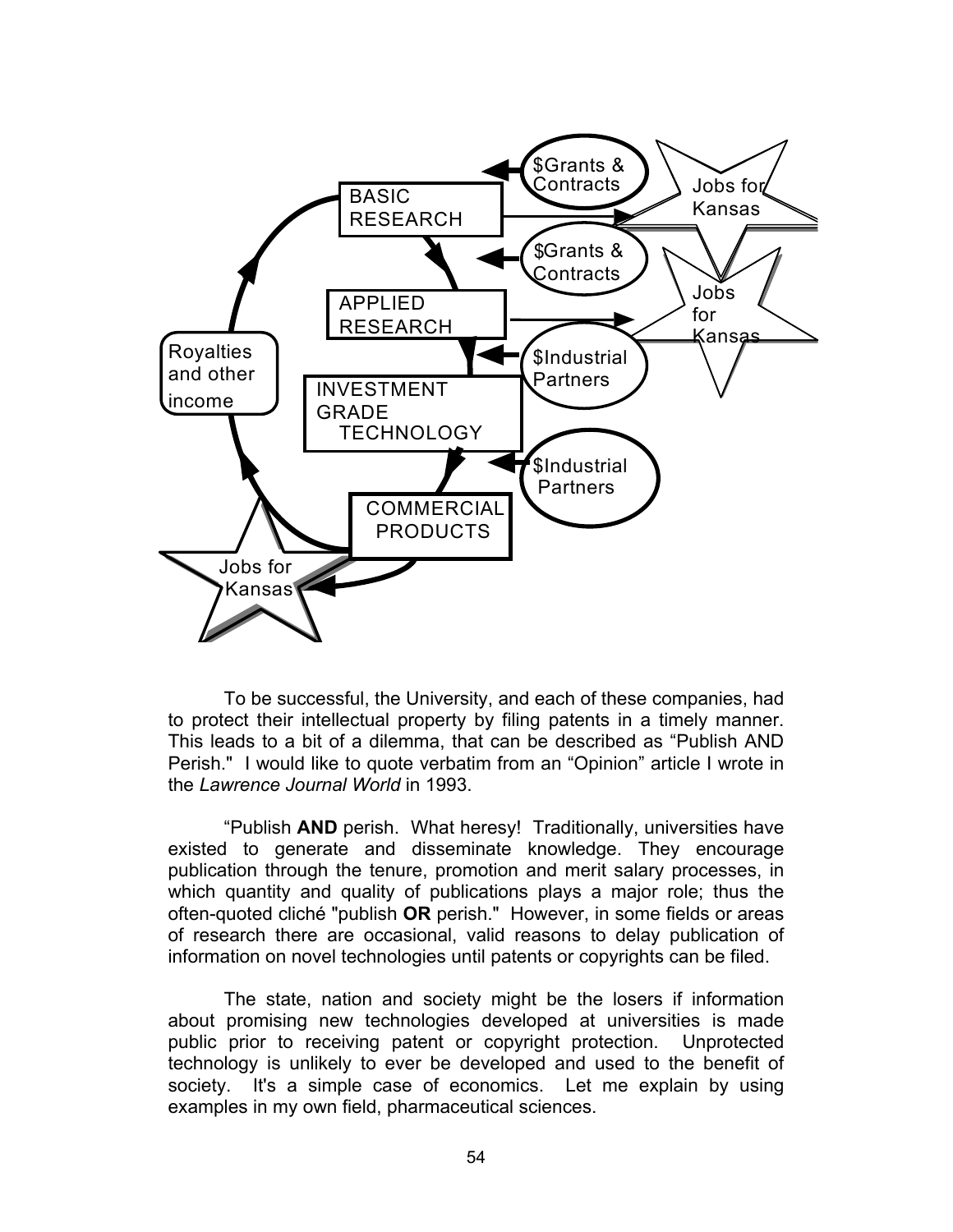

 To be successful, the University, and each of these companies, had to protect their intellectual property by filing patents in a timely manner. This leads to a bit of a dilemma, that can be described as "Publish AND Perish." I would like to quote verbatim from an "Opinion" article I wrote in the *Lawrence Journal World* in 1993.

 "Publish **AND** perish. What heresy! Traditionally, universities have existed to generate and disseminate knowledge. They encourage publication through the tenure, promotion and merit salary processes, in which quantity and quality of publications plays a major role; thus the often-quoted cliché "publish **OR** perish." However, in some fields or areas of research there are occasional, valid reasons to delay publication of information on novel technologies until patents or copyrights can be filed.

 The state, nation and society might be the losers if information about promising new technologies developed at universities is made public prior to receiving patent or copyright protection. Unprotected technology is unlikely to ever be developed and used to the benefit of society. It's a simple case of economics. Let me explain by using examples in my own field, pharmaceutical sciences.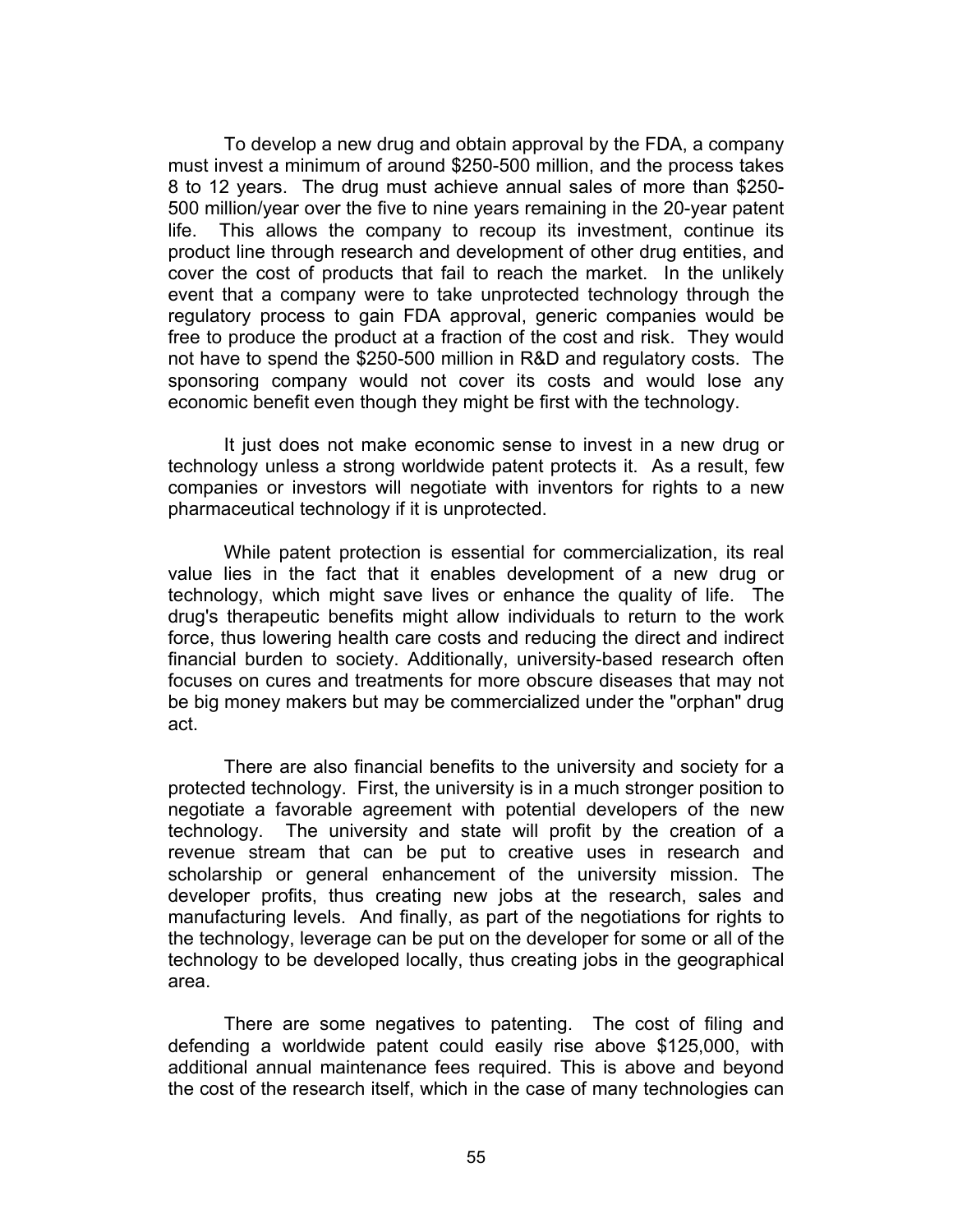To develop a new drug and obtain approval by the FDA, a company must invest a minimum of around \$250-500 million, and the process takes 8 to 12 years. The drug must achieve annual sales of more than \$250- 500 million/year over the five to nine years remaining in the 20-year patent life. This allows the company to recoup its investment, continue its product line through research and development of other drug entities, and cover the cost of products that fail to reach the market. In the unlikely event that a company were to take unprotected technology through the regulatory process to gain FDA approval, generic companies would be free to produce the product at a fraction of the cost and risk. They would not have to spend the \$250-500 million in R&D and regulatory costs. The sponsoring company would not cover its costs and would lose any economic benefit even though they might be first with the technology.

 It just does not make economic sense to invest in a new drug or technology unless a strong worldwide patent protects it. As a result, few companies or investors will negotiate with inventors for rights to a new pharmaceutical technology if it is unprotected.

 While patent protection is essential for commercialization, its real value lies in the fact that it enables development of a new drug or technology, which might save lives or enhance the quality of life. The drug's therapeutic benefits might allow individuals to return to the work force, thus lowering health care costs and reducing the direct and indirect financial burden to society. Additionally, university-based research often focuses on cures and treatments for more obscure diseases that may not be big money makers but may be commercialized under the "orphan" drug act.

 There are also financial benefits to the university and society for a protected technology. First, the university is in a much stronger position to negotiate a favorable agreement with potential developers of the new technology. The university and state will profit by the creation of a revenue stream that can be put to creative uses in research and scholarship or general enhancement of the university mission. The developer profits, thus creating new jobs at the research, sales and manufacturing levels. And finally, as part of the negotiations for rights to the technology, leverage can be put on the developer for some or all of the technology to be developed locally, thus creating jobs in the geographical area.

 There are some negatives to patenting. The cost of filing and defending a worldwide patent could easily rise above \$125,000, with additional annual maintenance fees required. This is above and beyond the cost of the research itself, which in the case of many technologies can